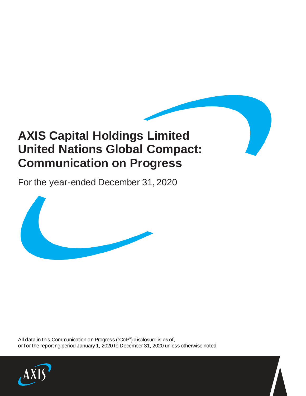# **AXIS Capital Holdings Limited United Nations Global Compact: Communication on Progress**

For the year-ended December 31, 2020



All data in this Communication on Progress ("CoP") disclosure is as of, or for the reporting period January 1, 2020 to December 31, 2020 unless otherwise noted.

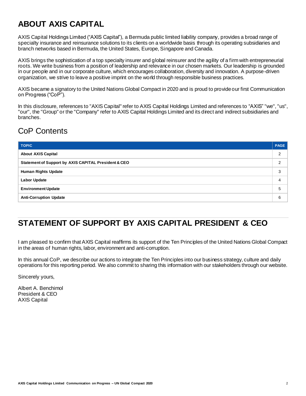#### **ABOUT AXIS CAPITAL**

AXIS Capital Holdings Limited ("AXIS Capital"), a Bermuda public limited liability company, provides a broad range of specialty insurance and reinsurance solutions to its clients on a worldwide basis through its operating subsidiaries and branch networks based in Bermuda, the United States, Europe, Singapore and Canada.

AXIS brings the sophistication of a top specialty insurer and global reinsurer and the agility of a firm with entrepreneurial roots. We write business from a position of leadership and relevance in our chosen markets. Our leadership is grounded in our people and in our corporate culture, which encourages collaboration, diversity and innovation. A purpose-driven organization, we strive to leave a positive imprint on the world through responsible business practices.

AXIS became a signatory to the United Nations Global Compact in 2020 and is proud to provide our first Communication on Progress ("CoP").

In this disclosure, references to "AXIS Capital" refer to AXIS Capital Holdings Limited and references to "AXIS" "we", "us", "our", the "Group" or the "Company" refer to AXIS Capital Holdings Limited and its direct and indirect subsidiaries and branches.

#### CoP Contents

| <b>TOPIC</b>                                         | <b>PAGE</b>   |
|------------------------------------------------------|---------------|
| <b>About AXIS Capital</b>                            | $\mathcal{P}$ |
| Statement of Support by AXIS CAPITAL President & CEO |               |
| <b>Human Rights Update</b>                           | 3             |
| <b>Labor Update</b>                                  | 4             |
| <b>Environment Update</b>                            |               |
| <b>Anti-Corruption Update</b>                        | 6             |

#### **STATEMENT OF SUPPORT BY AXIS CAPITAL PRESIDENT & CEO**

I am pleased to confirm that AXIS Capital reaffirms its support of the Ten Principles of the United Nations Global Compact in the areas of human rights, labor, environment and anti-corruption.

In this annual CoP, we describe our actions to integrate the Ten Principles into our business strategy, culture and daily operations for this reporting period. We also commit to sharing this information with our stakeholders through our website.

Sincerely yours,

Albert A. Benchimol President & CEO AXIS Capital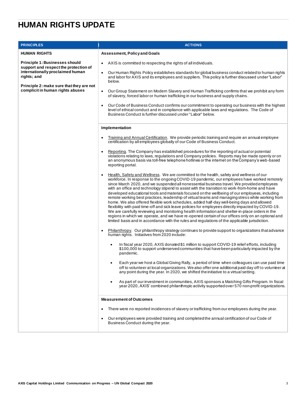## **HUMAN RIGHTS UPDATE**

| <b>PRINCIPLES</b>                                                                                                                 | <b>ACTIONS</b>                                                                                                                                                                                                                                                                                                                                                                                                                                                                                                                                                                                                                                                                                                                                                                                                          |
|-----------------------------------------------------------------------------------------------------------------------------------|-------------------------------------------------------------------------------------------------------------------------------------------------------------------------------------------------------------------------------------------------------------------------------------------------------------------------------------------------------------------------------------------------------------------------------------------------------------------------------------------------------------------------------------------------------------------------------------------------------------------------------------------------------------------------------------------------------------------------------------------------------------------------------------------------------------------------|
| <b>HUMAN RIGHTS</b>                                                                                                               | <b>Assessment, Policy and Goals</b>                                                                                                                                                                                                                                                                                                                                                                                                                                                                                                                                                                                                                                                                                                                                                                                     |
| <b>Principle 1: Businesses should</b><br>support and respect the protection of<br>internationally proclaimed human<br>rights; and | AXIS is committed to respecting the rights of all individuals.<br>$\bullet$<br>Our Human Rights Policy establishes standards for global business conduct related to human rights<br>$\bullet$<br>and labor for AXIS and its employees and suppliers. This policy is further discussed under "Labor"                                                                                                                                                                                                                                                                                                                                                                                                                                                                                                                     |
| Principle 2: make sure that they are not<br>complicit in human rights abuses                                                      | below.<br>Our Group Statement on Modern Slavery and Human Trafficking confirms that we prohibit any form<br>$\bullet$<br>of slavery, forced labor or human trafficking in our business and supply chains.<br>Our Code of Business Conduct confirms our commitment to operating our business with the highest<br>level of ethical conduct and in compliance with applicable laws and regulations. The Code of<br>Business Conduct is further discussed under "Labor" below.                                                                                                                                                                                                                                                                                                                                              |
|                                                                                                                                   | Implementation<br>Training and Annual Certification. We provide periodic training and require an annual employee<br>$\bullet$                                                                                                                                                                                                                                                                                                                                                                                                                                                                                                                                                                                                                                                                                           |
|                                                                                                                                   | certification by all employees globally of our Code of Business Conduct.<br>Reporting. The Company has established procedures for the reporting of actual or potential<br>violations relating to laws, regulations and Company policies. Reports may be made openly or on<br>an anonymous basis via toll-free telephone hotlines or the internet on the Company's web-based<br>reporting portal.<br>Health, Safety and Wellness. We are committed to the health, safety and wellness of our<br>$\bullet$<br>workforce. In response to the ongoing COVID-19 pandemic, our employees have worked remotely<br>since March 2020, and we suspended all nonessential business travel. We provided employees<br>with an office and technology stipend to assist with the transition to work-from-home and have                 |
|                                                                                                                                   | developed educational tools and materials focused on the wellbeing of our employees, including<br>remote working best practices, leadership of virtual teams and managing stress while working from<br>home. We also offered flexible work schedules, added half-day well-being days and allowed<br>flexibility with paid time-off and sick leave policies for employees directly impacted by COVID-19.<br>We are carefully reviewing and monitoring health information and shelter-in-place orders in the<br>regions in which we operate, and we have re-opened certain of our offices only on an optional and<br>limited basis and in accordance with the rules and regulations of the applicable jurisdiction.<br>Philanthropy. Our philanthropy strategy continues to provide support to organizations that advance |
|                                                                                                                                   | human rights. Initiatives from 2020 include:<br>In fiscal year 2020, AXIS donated \$1 million to support COVID-19 relief efforts, including<br>\$100,000 to support underserved communities that have been particularly impacted by the<br>pandemic.                                                                                                                                                                                                                                                                                                                                                                                                                                                                                                                                                                    |
|                                                                                                                                   | Each year we host a Global Giving Rally, a period of time when colleagues can use paid time<br>off to volunteer at local organizations. We also offer one additional paid day off to volunteer at<br>any point during the year. In 2020, we shifted the initiative to a virtual setting.                                                                                                                                                                                                                                                                                                                                                                                                                                                                                                                                |
|                                                                                                                                   | As part of our investment in communities, AXIS sponsors a Matching Gifts Program. In fiscal<br>year 2020, AXIS' combined philanthropic activity supported over 570 non-profit organizations.                                                                                                                                                                                                                                                                                                                                                                                                                                                                                                                                                                                                                            |
|                                                                                                                                   | <b>Measurement of Outcomes</b>                                                                                                                                                                                                                                                                                                                                                                                                                                                                                                                                                                                                                                                                                                                                                                                          |
|                                                                                                                                   | There were no reported incidences of slavery or trafficking from our employees during the year.<br>$\bullet$<br>Our employees were provided training and completed the annual certification of our Code of<br>٠<br>Business Conduct during the year.                                                                                                                                                                                                                                                                                                                                                                                                                                                                                                                                                                    |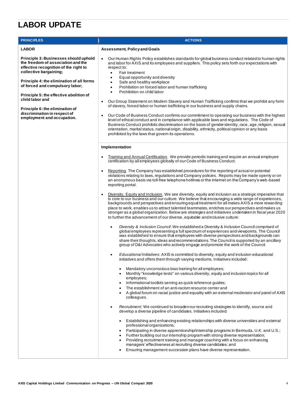### **LABOR UPDATE**

| <b>PRINCIPLES</b>                                                                                                                                                                                                                                                                                                                                                                             | <b>ACTIONS</b>                                                                                                                                                                                                                                                                                                                                                                                                                                                                                                                                                                                                                                                                                                                                                                                                                                                                                                                                                                                                                                                                                                      |
|-----------------------------------------------------------------------------------------------------------------------------------------------------------------------------------------------------------------------------------------------------------------------------------------------------------------------------------------------------------------------------------------------|---------------------------------------------------------------------------------------------------------------------------------------------------------------------------------------------------------------------------------------------------------------------------------------------------------------------------------------------------------------------------------------------------------------------------------------------------------------------------------------------------------------------------------------------------------------------------------------------------------------------------------------------------------------------------------------------------------------------------------------------------------------------------------------------------------------------------------------------------------------------------------------------------------------------------------------------------------------------------------------------------------------------------------------------------------------------------------------------------------------------|
| <b>LABOR</b>                                                                                                                                                                                                                                                                                                                                                                                  | <b>Assessment, Policy and Goals</b>                                                                                                                                                                                                                                                                                                                                                                                                                                                                                                                                                                                                                                                                                                                                                                                                                                                                                                                                                                                                                                                                                 |
| Principle 3: Businesses should uphold<br>the freedom of association and the<br>effective recognition of the right to<br>collective bargaining;<br>Principle 4: the elimination of all forms<br>of forced and compulsory labor;<br>Principle 5: the effective abolition of<br>child labor and<br>Principle 6: the elimination of<br>discrimination in respect of<br>employment and occupation. | Our Human Rights Policy establishes standards for global business conduct related to human rights<br>$\bullet$<br>and labor for AXIS and its employees and suppliers. This policy sets forth our expectations with<br>respect to:<br>Fair treatment<br>$\bullet$<br>Equal opportunity and diversity<br>Safe and healthy workplace<br>Prohibition on forced labor and human trafficking<br>٠<br>Prohibition on child labor<br>$\bullet$<br>Our Group Statement on Modern Slavery and Human Trafficking confirms that we prohibit any form<br>$\bullet$<br>of slavery, forced labor or human trafficking in our business and supply chains.<br>Our Code of Business Conduct confirms our commitment to operating our business with the highest<br>level of ethical conduct and in compliance with applicable laws and regulations. The Code of<br>Business Conduct prohibits discrimination on the basis of gender identity, race, age, religion, sexual<br>orientation, marital status, national origin, disability, ethnicity, political opinion or any basis<br>prohibited by the laws that govern its operations. |
|                                                                                                                                                                                                                                                                                                                                                                                               | Implementation                                                                                                                                                                                                                                                                                                                                                                                                                                                                                                                                                                                                                                                                                                                                                                                                                                                                                                                                                                                                                                                                                                      |
|                                                                                                                                                                                                                                                                                                                                                                                               | Training and Annual Certification. We provide periodic training and require an annual employee<br>$\bullet$<br>certification by all employees globally of our Code of Business Conduct.                                                                                                                                                                                                                                                                                                                                                                                                                                                                                                                                                                                                                                                                                                                                                                                                                                                                                                                             |
|                                                                                                                                                                                                                                                                                                                                                                                               | Reporting. The Company has established procedures for the reporting of actual or potential<br>$\bullet$<br>violations relating to laws, regulations and Company policies. Reports may be made openly or on<br>an anonymous basis via toll-free telephone hotlines or the internet on the Company's web-based<br>reporting portal.                                                                                                                                                                                                                                                                                                                                                                                                                                                                                                                                                                                                                                                                                                                                                                                   |
|                                                                                                                                                                                                                                                                                                                                                                                               | Diversity, Equity and Inclusion. We see diversity, equity and inclusion as a strategic imperative that<br>is core to our business and our culture. We believe that encouraging a wide range of experiences,<br>backgrounds and perspectives and ensuring equal treatment for all makes AXIS a more rewarding<br>place to work, enables us to attract talented teammates, enriches our perspectives and makes us<br>stronger as a global organization. Below are strategies and initiatives undertaken in fiscal year 2020<br>to further the advancement of our diverse, equitable and inclusive culture:                                                                                                                                                                                                                                                                                                                                                                                                                                                                                                            |
|                                                                                                                                                                                                                                                                                                                                                                                               | Diversity & Inclusion Council: We established a Diversity & Inclusion Council comprised of<br>global employees representing a full spectrum of experiences and viewpoints. The Council<br>was established to ensure that employees with diverse perspectives and backgrounds can<br>share their thoughts, ideas and recommendations. The Council is supported by an ancillary<br>group of D&I Advocates who actively engage and promote the work of the Council.                                                                                                                                                                                                                                                                                                                                                                                                                                                                                                                                                                                                                                                    |
|                                                                                                                                                                                                                                                                                                                                                                                               | Educational Initiatives: AXIS is committed to diversity, equity and inclusion educational<br>initiatives and offers them through varying mediums. Initiatives included:                                                                                                                                                                                                                                                                                                                                                                                                                                                                                                                                                                                                                                                                                                                                                                                                                                                                                                                                             |
|                                                                                                                                                                                                                                                                                                                                                                                               | Mandatory unconscious bias training for all employees;<br>Monthly "knowledge tests" on various diversity, equity and inclusion topics for all<br>employees;<br>Informational toolkits serving as quick reference guides;<br>The establishment of an anti-racism resource center and<br>A global forum on racial justice and equality with an external moderator and panel of AXIS<br>colleagues.                                                                                                                                                                                                                                                                                                                                                                                                                                                                                                                                                                                                                                                                                                                    |
|                                                                                                                                                                                                                                                                                                                                                                                               | Recruitment: We continued to broaden our recruiting strategies to identify, source and<br>develop a diverse pipeline of candidates. Initiatives included:                                                                                                                                                                                                                                                                                                                                                                                                                                                                                                                                                                                                                                                                                                                                                                                                                                                                                                                                                           |
|                                                                                                                                                                                                                                                                                                                                                                                               | Establishing and enhancing existing relationships with diverse universities and external<br>professional organizations;<br>Participating in diverse apprenticeship/internship programs in Bermuda, U.K. and U.S.;<br>Further building out our internship program with strong diverse representation;<br>Providing recruitment training and manager coaching with a focus on enhancing<br>managers' effectiveness at recruiting diverse candidates; and<br>Ensuring management succession plans have diverse representation.                                                                                                                                                                                                                                                                                                                                                                                                                                                                                                                                                                                         |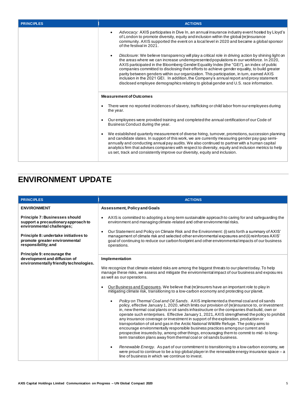| <b>PRINCIPLES</b> | <b>ACTIONS</b>                                                                                                                                                                                                                                                                                                                                                                                                                                                                                                                                                                                                                                                            |
|-------------------|---------------------------------------------------------------------------------------------------------------------------------------------------------------------------------------------------------------------------------------------------------------------------------------------------------------------------------------------------------------------------------------------------------------------------------------------------------------------------------------------------------------------------------------------------------------------------------------------------------------------------------------------------------------------------|
|                   | Advocacy: AXIS participates in Dive In, an annual insurance industry event hosted by Lloyd's<br>of London to promote diversity, equity and inclusion within the global (re)insurance<br>community. AXIS supported the event on a local level in 2020 and became a global sponsor<br>of the festival in 2021.                                                                                                                                                                                                                                                                                                                                                              |
|                   | Disclosure: We believe transparency will play a critical role in driving action by shining light on<br>the areas where we can increase underrepresented populations in our workforce. In 2020,<br>AXIS participated in the Bloomberg Gender Equality Index (the "GEI"), an index of public<br>companies committed to disclosing their efforts to achieve gender equality, to build greater<br>parity between genders within our organization. This participation, in turn, earned AXIS<br>inclusion in the 2021 GEI. In addition, the Company's annual report and proxy statement<br>disclosed employee demographics relating to global gender and U.S. race information. |
|                   | <b>Measurement of Outcomes</b>                                                                                                                                                                                                                                                                                                                                                                                                                                                                                                                                                                                                                                            |
|                   | There were no reported incidences of slavery, trafficking or child labor from our employees during<br>$\bullet$<br>the year.                                                                                                                                                                                                                                                                                                                                                                                                                                                                                                                                              |
|                   | Our employees were provided training and completed the annual certification of our Code of<br>$\bullet$<br>Business Conduct during the year.                                                                                                                                                                                                                                                                                                                                                                                                                                                                                                                              |
|                   | We established quarterly measurement of diverse hiring, turnover, promotions, succession planning<br>$\bullet$<br>and candidate slates. In support of this work, we are currently measuring gender pay gap semi-<br>annually and conducting annual pay audits. We also continued to partner with a human capital<br>analytics firm that advises companies with respect to diversity, equity and inclusion metrics to help<br>us set, track and consistently improve our diversity, equity and inclusion.                                                                                                                                                                  |

### **ENVIRONMENT UPDATE**

| <b>PRINCIPLES</b>                                                                                         | <b>ACTIONS</b>                                                                                                                                                                                                                                                                                                                                                                                                                                                                                                                                                                                                                                                                                                                                                                                                                                                                                                                                                                                                                                                                                                                                                                                                                                                                                                                                                                                                                                                                                                                      |
|-----------------------------------------------------------------------------------------------------------|-------------------------------------------------------------------------------------------------------------------------------------------------------------------------------------------------------------------------------------------------------------------------------------------------------------------------------------------------------------------------------------------------------------------------------------------------------------------------------------------------------------------------------------------------------------------------------------------------------------------------------------------------------------------------------------------------------------------------------------------------------------------------------------------------------------------------------------------------------------------------------------------------------------------------------------------------------------------------------------------------------------------------------------------------------------------------------------------------------------------------------------------------------------------------------------------------------------------------------------------------------------------------------------------------------------------------------------------------------------------------------------------------------------------------------------------------------------------------------------------------------------------------------------|
| <b>ENVIRONMENT</b>                                                                                        | <b>Assessment, Policy and Goals</b>                                                                                                                                                                                                                                                                                                                                                                                                                                                                                                                                                                                                                                                                                                                                                                                                                                                                                                                                                                                                                                                                                                                                                                                                                                                                                                                                                                                                                                                                                                 |
| <b>Principle 7: Businesses should</b><br>support a precautionary approach to<br>environmental challenges; | AXIS is committed to adopting a long-term sustainable approach to caring for and safeguarding the<br>٠<br>environment and managing climate-related and other environmental risks.                                                                                                                                                                                                                                                                                                                                                                                                                                                                                                                                                                                                                                                                                                                                                                                                                                                                                                                                                                                                                                                                                                                                                                                                                                                                                                                                                   |
| Principle 8: undertake initiatives to<br>promote greater environmental<br>responsibility; and             | Our Statement and Policy on Climate Risk and the Environment: (i) sets forth a summary of AXIS'<br>$\bullet$<br>management of climate risk and selected other environmental exposures and (ii) reinforces AXIS'<br>goal of continuing to reduce our carbon footprint and other environmental impacts of our business<br>operations.                                                                                                                                                                                                                                                                                                                                                                                                                                                                                                                                                                                                                                                                                                                                                                                                                                                                                                                                                                                                                                                                                                                                                                                                 |
| Principle 9: encourage the<br>development and diffusion of<br>environmentally friendly technologies.      | Implementation<br>We recognize that climate-related risks are among the biggest threats to our planettoday. To help<br>manage these risks, we assess and mitigate the environmental impact of our business and exposures<br>as well as our operations.<br>Our Business and Exposures. We believe that (re) insurers have an important role to play in<br>mitigating climate risk, transitioning to a low-carbon economy and protecting our planet.<br>Policy on Thermal Coal and Oil Sands. AXIS implemented a thermal coal and oil sands<br>policy, effective January 1, 2020, which limits our provision of (re)insurance to, or investment<br>in, new thermal coal plants or oil sands infrastructure or the companies that build, own or<br>operate such enterprises. Effective January 1, 2021, AXIS strengthened the policy to prohibit<br>any insurance coverage or investment in support of the exploration, production or<br>transportation of oil and gas in the Arctic National Wildlife Refuge. The policy aims to<br>encourage environmentally responsible business practices among our current and<br>prospective insureds by, among other things, encouraging them to commit to mid-to long-<br>term transition plans away from thermal coal or oil sands business.<br>Renewable Energy. As part of our commitment to transitioning to a low-carbon economy, we<br>were proud to continue to be a top global player in the renewable energy insurance space $-a$<br>line of business in which we continue to invest. |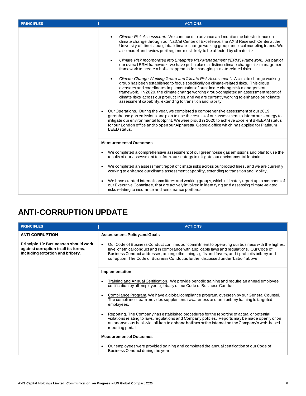| <b>PRINCIPLES</b> | <b>ACTIONS</b>                                                                                                                                                                                                                                                                                                                                                                                                                                                                                                                                                                                                                                                                                                                                                                                                                                                                                                                                                                                                                                                                                                                                                                                                                                                                                                                                                                                                                                                                                                                                                                                 |
|-------------------|------------------------------------------------------------------------------------------------------------------------------------------------------------------------------------------------------------------------------------------------------------------------------------------------------------------------------------------------------------------------------------------------------------------------------------------------------------------------------------------------------------------------------------------------------------------------------------------------------------------------------------------------------------------------------------------------------------------------------------------------------------------------------------------------------------------------------------------------------------------------------------------------------------------------------------------------------------------------------------------------------------------------------------------------------------------------------------------------------------------------------------------------------------------------------------------------------------------------------------------------------------------------------------------------------------------------------------------------------------------------------------------------------------------------------------------------------------------------------------------------------------------------------------------------------------------------------------------------|
|                   | Climate Risk Assessment. We continued to advance and monitor the latest science on<br>climate change through our NatCat Centre of Excellence, the AXIS Research Center at the<br>University of Illinois, our global climate-change working group and local modeling teams. We<br>also model and review peril regions most likely to be affected by climate risk.<br>Climate Risk Incorporated into Enterprise Risk Management ("ERM") Framework. As part of<br>our overall ERM framework, we have put in place a distinct climate change risk management<br>framework to create a holistic approach for managing climate-related risks.<br>Climate Change Working Group and Climate Risk Assessment. A climate change working<br>group has been established to focus specifically on climate-related risks. This group<br>oversees and coordinates implementation of our climate change risk management<br>framework. In 2020, the climate change working group completed an assessment report of<br>climate risks across our product lines, and we are currently working to enhance our climate<br>assessment capability, extending to transition and liability<br>Our Operations. During the year, we completed a comprehensive assessment of our 2019<br>$\bullet$<br>greenhouse gas emissions and plan to use the results of our assessment to inform our strategy to<br>mitigate our environmental footprint. We were proud in 2020 to achieve Excellent BREEAM status<br>for our London office and to open our Alpharetta, Georgia office which has applied for Platinum<br>LEED status. |
|                   | <b>Measurement of Outcomes</b>                                                                                                                                                                                                                                                                                                                                                                                                                                                                                                                                                                                                                                                                                                                                                                                                                                                                                                                                                                                                                                                                                                                                                                                                                                                                                                                                                                                                                                                                                                                                                                 |
|                   | We completed a comprehensive assessment of our greenhouse gas emissions and planto use the<br>$\bullet$<br>results of our assessment to inform our strategy to mitigate our environmental footprint.<br>We completed an assessment report of climate risks across our product lines, and we are currently<br>$\bullet$<br>working to enhance our climate assessment capability, extending to transition and liability.                                                                                                                                                                                                                                                                                                                                                                                                                                                                                                                                                                                                                                                                                                                                                                                                                                                                                                                                                                                                                                                                                                                                                                         |
|                   | We have created internal committees and working groups, which ultimately report up to members of<br>$\bullet$<br>our Executive Committee, that are actively involved in identifying and assessing climate-related<br>risks relating to insurance and reinsurance portfolios.                                                                                                                                                                                                                                                                                                                                                                                                                                                                                                                                                                                                                                                                                                                                                                                                                                                                                                                                                                                                                                                                                                                                                                                                                                                                                                                   |

#### **ANTI-CORRUPTION UPDATE**

| <b>PRINCIPLES</b>                                                                                                | <b>ACTIONS</b>                                                                                                                                                                                                                                                                                                                                                                                      |
|------------------------------------------------------------------------------------------------------------------|-----------------------------------------------------------------------------------------------------------------------------------------------------------------------------------------------------------------------------------------------------------------------------------------------------------------------------------------------------------------------------------------------------|
| <b>ANTI-CORRUPTION</b>                                                                                           | <b>Assessment, Policy and Goals</b>                                                                                                                                                                                                                                                                                                                                                                 |
| Principle 10: Businesses should work<br>against corruption in all its forms,<br>including extortion and bribery. | Our Code of Business Conduct confirms our commitment to operating our business with the highest<br>$\bullet$<br>level of ethical conduct and in compliance with applicable laws and regulations. Our Code of<br>Business Conduct addresses, among other things, gifts and favors, and it prohibits bribery and<br>corruption. The Code of Business Conductis further discussed under "Labor" above. |
|                                                                                                                  | Implementation                                                                                                                                                                                                                                                                                                                                                                                      |
|                                                                                                                  | Training and Annual Certification. We provide periodic training and require an annual employee<br>certification by all employees globally of our Code of Business Conduct.                                                                                                                                                                                                                          |
|                                                                                                                  | Compliance Program. We have a global compliance program, overseen by our General Counsel.<br>٠<br>The compliance team provides supplemental awareness and anti-bribery training to targeted<br>employees.                                                                                                                                                                                           |
|                                                                                                                  | Reporting. The Company has established procedures for the reporting of actual or potential<br>violations relating to laws, regulations and Company policies. Reports may be made openly or on<br>an anonymous basis via toll-free telephone hotlines or the internet on the Company's web-based<br>reporting portal.                                                                                |
|                                                                                                                  | <b>Measurement of Outcomes</b>                                                                                                                                                                                                                                                                                                                                                                      |
|                                                                                                                  | Our employees were provided training and completed the annual certification of our Code of<br>$\bullet$<br>Business Conduct during the year.                                                                                                                                                                                                                                                        |